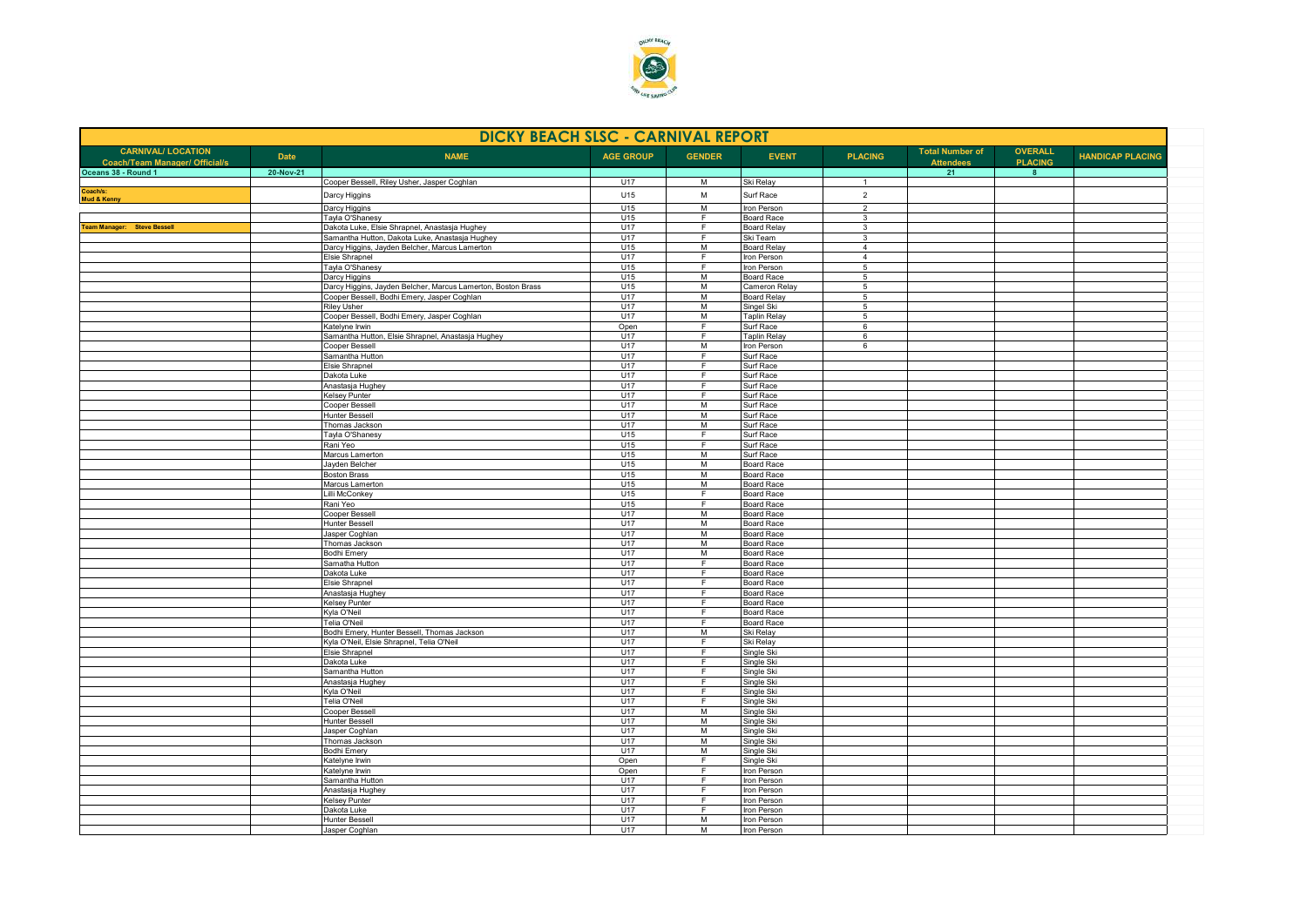

| <b>DICKY BEACH SLSC - CARNIVAL REPORT</b>                          |             |                                                                   |                  |                     |                                        |                                  |                                            |                                  |                         |  |
|--------------------------------------------------------------------|-------------|-------------------------------------------------------------------|------------------|---------------------|----------------------------------------|----------------------------------|--------------------------------------------|----------------------------------|-------------------------|--|
| <b>CARNIVAL/ LOCATION</b><br><b>Coach/Team Manager/ Official/s</b> | <b>Date</b> | <b>NAME</b>                                                       | <b>AGE GROUP</b> | <b>GENDER</b>       | <b>EVENT</b>                           | <b>PLACING</b>                   | <b>Total Number of</b><br><b>Attendees</b> | <b>OVERALL</b><br><b>PLACING</b> | <b>HANDICAP PLACING</b> |  |
| Oceans 38 - Round 1                                                | 20-Nov-21   | Cooper Bessell, Riley Usher, Jasper Coghlan                       | U17              | M                   |                                        |                                  | 21                                         | 8 <sup>2</sup>                   |                         |  |
| Coach/s:                                                           |             | Darcy Higgins                                                     | U15              | M                   | Ski Relay<br>Surf Race                 | $\mathbf{1}$<br>$\overline{2}$   |                                            |                                  |                         |  |
| Mud & Kenny                                                        |             | Darcy Higgins                                                     | U15              | M                   | Iron Person                            | $\overline{2}$                   |                                            |                                  |                         |  |
|                                                                    |             | Tayla O'Shanesy                                                   | U15              | F                   | <b>Board Race</b>                      | $\overline{3}$                   |                                            |                                  |                         |  |
| <b>Team Manager: Steve Bessell</b>                                 |             | Dakota Luke, Elsie Shrapnel, Anastasja Hughey                     | U17              | F.                  | <b>Board Relay</b>                     | 3                                |                                            |                                  |                         |  |
|                                                                    |             | Samantha Hutton, Dakota Luke, Anastasja Hughey                    | U17              | E                   | Ski Team                               | 3                                |                                            |                                  |                         |  |
|                                                                    |             | Darcy Higgins, Jayden Belcher, Marcus Lamerton<br>Elsie Shrapnel  | U15<br>U17       | M<br>F              | <b>Board Relay</b><br>Iron Person      | $\overline{4}$<br>$\overline{4}$ |                                            |                                  |                         |  |
|                                                                    |             | Tayla O'Shanesy                                                   | U15              | E                   | Iron Person                            | 5                                |                                            |                                  |                         |  |
|                                                                    |             | Darcy Higgins                                                     | U15              | M                   | <b>Board Race</b>                      | $5\overline{5}$                  |                                            |                                  |                         |  |
|                                                                    |             | Darcy Higgins, Jayden Belcher, Marcus Lamerton, Boston Brass      | U15              | M                   | Cameron Relay                          | $5\phantom{.0}$                  |                                            |                                  |                         |  |
|                                                                    |             | Cooper Bessell, Bodhi Emery, Jasper Coghlan                       | U17              | M                   | <b>Board Relay</b>                     | $5\overline{5}$                  |                                            |                                  |                         |  |
|                                                                    |             | <b>Riley Usher</b><br>Cooper Bessell, Bodhi Emery, Jasper Coghlan | U17<br>U17       | M<br>$\overline{M}$ | Singel Ski<br><b>Taplin Relay</b>      | $\overline{5}$<br>$\overline{5}$ |                                            |                                  |                         |  |
|                                                                    |             | Katelyne Irwin                                                    | Open             | F                   | Surf Race                              | 6                                |                                            |                                  |                         |  |
|                                                                    |             | Samantha Hutton, Elsie Shrapnel, Anastasja Hughey                 | U17              | $\overline{F}$      | <b>Taplin Relay</b>                    | 6                                |                                            |                                  |                         |  |
|                                                                    |             | Cooper Bessell                                                    | U17              | M                   | Iron Person                            | 6                                |                                            |                                  |                         |  |
|                                                                    |             | Samantha Hutton                                                   | U17              | E                   | Surf Race                              |                                  |                                            |                                  |                         |  |
|                                                                    |             | Elsie Shrapnel                                                    | U17              | F.                  | Surf Race                              |                                  |                                            |                                  |                         |  |
|                                                                    |             | Dakota Luke<br>Anastasja Hughey                                   | U17<br>U17       | F<br>E              | Surf Race<br>Surf Race                 |                                  |                                            |                                  |                         |  |
|                                                                    |             | <b>Kelsey Punter</b>                                              | U17              | F                   | Surf Race                              |                                  |                                            |                                  |                         |  |
|                                                                    |             | Cooper Bessell                                                    | U17              | M                   | Surf Race                              |                                  |                                            |                                  |                         |  |
|                                                                    |             | <b>Hunter Bessell</b>                                             | U17              | M                   | Surf Race                              |                                  |                                            |                                  |                         |  |
|                                                                    |             | Thomas Jackson                                                    | U17              | M                   | Surf Race                              |                                  |                                            |                                  |                         |  |
|                                                                    |             | Tayla O'Shanesy                                                   | U15              | F.                  | Surf Race                              |                                  |                                            |                                  |                         |  |
|                                                                    |             | Rani Yeo<br>Marcus Lamerton                                       | U15<br>U15       | E<br>M              | Surf Race<br>Surf Race                 |                                  |                                            |                                  |                         |  |
|                                                                    |             | Jayden Belcher                                                    | U15              | M                   | <b>Board Race</b>                      |                                  |                                            |                                  |                         |  |
|                                                                    |             | <b>Boston Brass</b>                                               | U15              | M                   | <b>Board Race</b>                      |                                  |                                            |                                  |                         |  |
|                                                                    |             | Marcus Lamerton                                                   | U15              | M                   | <b>Board Race</b>                      |                                  |                                            |                                  |                         |  |
|                                                                    |             | Lilli McConkey                                                    | U15              | E                   | <b>Board Race</b>                      |                                  |                                            |                                  |                         |  |
|                                                                    |             | Rani Yeo                                                          | U15              | F                   | <b>Board Race</b>                      |                                  |                                            |                                  |                         |  |
|                                                                    |             | Cooper Bessell<br><b>Hunter Bessell</b>                           | U17<br>U17       | M<br>M              | <b>Board Race</b><br><b>Board Race</b> |                                  |                                            |                                  |                         |  |
|                                                                    |             | Jasper Coghlan                                                    | U17              | M                   | <b>Board Race</b>                      |                                  |                                            |                                  |                         |  |
|                                                                    |             | Thomas Jackson                                                    | U17              | M                   | <b>Board Race</b>                      |                                  |                                            |                                  |                         |  |
|                                                                    |             | <b>Bodhi Emery</b>                                                | U17              | M                   | <b>Board Race</b>                      |                                  |                                            |                                  |                         |  |
|                                                                    |             | Samatha Hutton                                                    | U17              | F                   | <b>Board Race</b>                      |                                  |                                            |                                  |                         |  |
|                                                                    |             | Dakota Luke                                                       | U17              | F                   | <b>Board Race</b>                      |                                  |                                            |                                  |                         |  |
|                                                                    |             | <b>Elsie Shrapnel</b><br>Anastasja Hughey                         | U17<br>U17       | F<br>$\overline{F}$ | <b>Board Race</b><br><b>Board Race</b> |                                  |                                            |                                  |                         |  |
|                                                                    |             | <b>Kelsey Punter</b>                                              | U17              | F.                  | <b>Board Race</b>                      |                                  |                                            |                                  |                         |  |
|                                                                    |             | Kyla O'Neil                                                       | U17              | E                   | <b>Board Race</b>                      |                                  |                                            |                                  |                         |  |
|                                                                    |             | Telia O'Neil                                                      | U17              | F                   | <b>Board Race</b>                      |                                  |                                            |                                  |                         |  |
|                                                                    |             | Bodhi Emery, Hunter Bessell, Thomas Jackson                       | U17              | M                   | Ski Relay                              |                                  |                                            |                                  |                         |  |
|                                                                    |             | Kyla O'Neil, Elsie Shrapnel, Telia O'Neil                         | U17              | F                   | Ski Relay                              |                                  |                                            |                                  |                         |  |
|                                                                    |             | Elsie Shrapnel<br>Dakota Luke                                     | U17<br>U17       | F.<br>-F            | Single Ski<br>Single Ski               |                                  |                                            |                                  |                         |  |
|                                                                    |             | Samantha Hutton                                                   | U17              | F.                  | Single Ski                             |                                  |                                            |                                  |                         |  |
|                                                                    |             | Anastasja Hughey                                                  | U17              | F.                  | Single Ski                             |                                  |                                            |                                  |                         |  |
|                                                                    |             | Kvla O'Neil                                                       | U17              | F.                  | Single Ski                             |                                  |                                            |                                  |                         |  |
|                                                                    |             | Telia O'Neil                                                      | U17              | E                   | Single Ski                             |                                  |                                            |                                  |                         |  |
|                                                                    |             | Cooper Bessell<br><b>Hunter Bessell</b>                           | U17<br>U17       | M<br>M              | Single Ski<br>Single Ski               |                                  |                                            |                                  |                         |  |
|                                                                    |             | Jasper Coghlan                                                    | U17              | M                   | Single Ski                             |                                  |                                            |                                  |                         |  |
|                                                                    |             | Thomas Jackson                                                    | U17              | M                   | Single Ski                             |                                  |                                            |                                  |                         |  |
|                                                                    |             | <b>Bodhi Emery</b>                                                | U17              | M                   | Single Ski                             |                                  |                                            |                                  |                         |  |
|                                                                    |             | Katelyne Irwin                                                    | Open             | E                   | Single Ski                             |                                  |                                            |                                  |                         |  |
|                                                                    |             | Katelyne Irwin                                                    | Open             | E                   | Iron Person                            |                                  |                                            |                                  |                         |  |
|                                                                    |             | Samantha Hutton                                                   | U17              | F                   | Iron Person                            |                                  |                                            |                                  |                         |  |
|                                                                    |             | Anastasja Hughey<br><b>Kelsey Punter</b>                          | U17<br>U17       | E<br>F.             | Iron Person<br>Iron Person             |                                  |                                            |                                  |                         |  |
|                                                                    |             | Dakota Luke                                                       | U17              | E                   | Iron Person                            |                                  |                                            |                                  |                         |  |
|                                                                    |             | <b>Hunter Bessell</b>                                             | U17              | M                   | Iron Person                            |                                  |                                            |                                  |                         |  |
|                                                                    |             | Jasper Coghlan                                                    | <b>U17</b>       | M                   | <b>Iron Person</b>                     |                                  |                                            |                                  |                         |  |